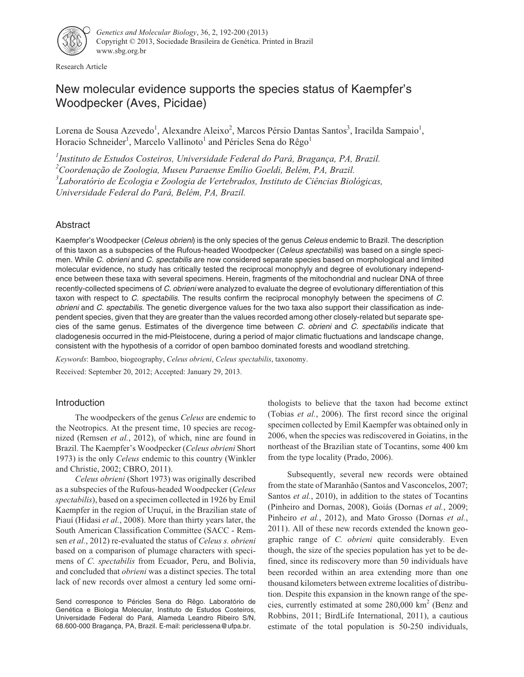

Research Article

# New molecular evidence supports the species status of Kaempfer's Woodpecker (Aves, Picidae)

Lorena de Sousa Azevedo<sup>1</sup>, Alexandre Aleixo<sup>2</sup>, Marcos Pérsio Dantas Santos<sup>3</sup>, Iracilda Sampaio<sup>1</sup>, Horacio Schneider<sup>1</sup>, Marcelo Vallinoto<sup>1</sup> and Péricles Sena do Rêgo<sup>1</sup>

 *Instituto de Estudos Costeiros, Universidade Federal do Pará, Bragança, PA, Brazil. Coordenação de Zoologia, Museu Paraense Emílio Goeldi, Belém, PA, Brazil. Laboratório de Ecologia e Zoologia de Vertebrados, Instituto de Ciências Biológicas, Universidade Federal do Pará, Belém, PA, Brazil.*

# Abstract

Kaempfer's Woodpecker (Celeus obrieni) is the only species of the genus Celeus endemic to Brazil. The description of this taxon as a subspecies of the Rufous-headed Woodpecker (Celeus spectabilis) was based on a single specimen. While C. obrieni and C. spectabilis are now considered separate species based on morphological and limited molecular evidence, no study has critically tested the reciprocal monophyly and degree of evolutionary independence between these taxa with several specimens. Herein, fragments of the mitochondrial and nuclear DNA of three recently-collected specimens of C. obrieni were analyzed to evaluate the degree of evolutionary differentiation of this taxon with respect to C. spectabilis. The results confirm the reciprocal monophyly between the specimens of C. obrieni and C. spectabilis. The genetic divergence values for the two taxa also support their classification as independent species, given that they are greater than the values recorded among other closely-related but separate species of the same genus. Estimates of the divergence time between C. obrieni and C. spectabilis indicate that cladogenesis occurred in the mid-Pleistocene, during a period of major climatic fluctuations and landscape change, consistent with the hypothesis of a corridor of open bamboo dominated forests and woodland stretching.

*Keywords*: Bamboo, biogeography, *Celeus obrieni*, *Celeus spectabilis*, taxonomy.

Received: September 20, 2012; Accepted: January 29, 2013.

# Introduction

The woodpeckers of the genus *Celeus* are endemic to the Neotropics. At the present time, 10 species are recognized (Remsen *et al.*, 2012), of which, nine are found in Brazil. The Kaempfer's Woodpecker (*Celeus obrieni* Short 1973) is the only *Celeus* endemic to this country (Winkler and Christie, 2002; CBRO, 2011).

*Celeus obrieni* (Short 1973) was originally described as a subspecies of the Rufous-headed Woodpecker (*Celeus spectabilis*), based on a specimen collected in 1926 by Emil Kaempfer in the region of Uruçuí, in the Brazilian state of Piauí (Hidasi *et al.*, 2008). More than thirty years later, the South American Classification Committee (SACC - Remsen *et al.*, 2012) re-evaluated the status of *Celeus s. obrieni* based on a comparison of plumage characters with specimens of *C. spectabilis* from Ecuador, Peru, and Bolivia, and concluded that *obrieni* was a distinct species. The total lack of new records over almost a century led some ornithologists to believe that the taxon had become extinct (Tobias *et al.*, 2006). The first record since the original specimen collected by Emil Kaempfer was obtained only in 2006, when the species was rediscovered in Goiatins, in the northeast of the Brazilian state of Tocantins, some 400 km from the type locality (Prado, 2006).

Subsequently, several new records were obtained from the state of Maranhão (Santos and Vasconcelos, 2007; Santos *et al.*, 2010), in addition to the states of Tocantins (Pinheiro and Dornas, 2008), Goiás (Dornas *et al.*, 2009; Pinheiro *et al.*, 2012), and Mato Grosso (Dornas *et al.*, 2011). All of these new records extended the known geographic range of *C. obrieni* quite considerably*.* Even though, the size of the species population has yet to be defined, since its rediscovery more than 50 individuals have been recorded within an area extending more than one thousand kilometers between extreme localities of distribution. Despite this expansion in the known range of the species, currently estimated at some  $280,000 \text{ km}^2$  (Benz and Robbins, 2011; BirdLife International, 2011), a cautious estimate of the total population is 50-250 individuals,

Send corresponce to Péricles Sena do Rêgo. Laboratório de Genética e Biologia Molecular, Instituto de Estudos Costeiros, Universidade Federal do Pará, Alameda Leandro Ribeiro S/N, 68.600-000 Bragança, PA, Brazil. E-mail: periclessena@ufpa.br.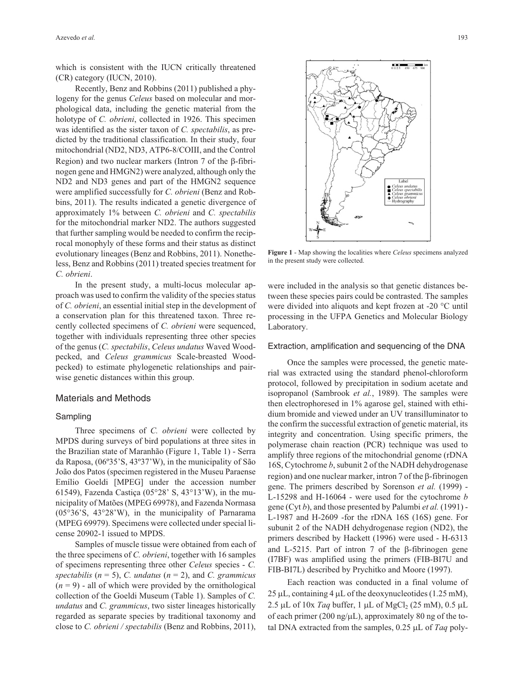which is consistent with the IUCN critically threatened (CR) category (IUCN, 2010).

Recently, Benz and Robbins (2011) published a phylogeny for the genus *Celeus* based on molecular and morphological data, including the genetic material from the holotype of *C. obrieni*, collected in 1926. This specimen was identified as the sister taxon of *C. spectabilis*, as predicted by the traditional classification. In their study, four mitochondrial (ND2, ND3, ATP6-8/COIII, and the Control Region) and two nuclear markers (Intron  $7$  of the  $\beta$ -fibrinogen gene and HMGN2) were analyzed, although only the ND2 and ND3 genes and part of the HMGN2 sequence were amplified successfully for *C. obrieni* (Benz and Robbins, 2011). The results indicated a genetic divergence of approximately 1% between *C. obrieni* and *C. spectabilis* for the mitochondrial marker ND2. The authors suggested that further sampling would be needed to confirm the reciprocal monophyly of these forms and their status as distinct evolutionary lineages (Benz and Robbins, 2011). Nonetheless, Benz and Robbins (2011) treated species treatment for *C. obrieni*.

In the present study, a multi-locus molecular approach was used to confirm the validity of the species status of *C. obrieni*, an essential initial step in the development of a conservation plan for this threatened taxon. Three recently collected specimens of *C. obrieni* were sequenced, together with individuals representing three other species of the genus (*C. spectabilis*, *Celeus undatus* Waved Woodpecked, and *Celeus grammicus* Scale-breasted Woodpecked) to estimate phylogenetic relationships and pairwise genetic distances within this group.

# Materials and Methods

## Sampling

Three specimens of *C. obrieni* were collected by MPDS during surveys of bird populations at three sites in the Brazilian state of Maranhão (Figure 1, Table 1) - Serra da Raposa, (06º35'S, 43º37'W), in the municipality of São João dos Patos (specimen registered in the Museu Paraense Emílio Goeldi [MPEG] under the accession number 61549), Fazenda Castiça (05°28' S, 43°13'W), in the municipality of Matões (MPEG 69978), and Fazenda Normasa (05°36'S, 43°28'W), in the municipality of Parnarama (MPEG 69979). Specimens were collected under special license 20902-1 issued to MPDS.

Samples of muscle tissue were obtained from each of the three specimens of *C. obrieni*, together with 16 samples of specimens representing three other *Celeus* species - *C. spectabilis* (*n* = 5), *C. undatus* (*n* = 2), and *C. grammicus*  $(n = 9)$  - all of which were provided by the ornithological collection of the Goeldi Museum (Table 1). Samples of *C. undatus* and *C. grammicus*, two sister lineages historically regarded as separate species by traditional taxonomy and close to *C. obrieni / spectabilis* (Benz and Robbins, 2011),



**Figure 1** - Map showing the localities where *Celeus* specimens analyzed in the present study were collected.

were included in the analysis so that genetic distances between these species pairs could be contrasted. The samples were divided into aliquots and kept frozen at -20 °C until processing in the UFPA Genetics and Molecular Biology Laboratory.

#### Extraction, amplification and sequencing of the DNA

Once the samples were processed, the genetic material was extracted using the standard phenol-chloroform protocol, followed by precipitation in sodium acetate and isopropanol (Sambrook *et al.*, 1989). The samples were then electrophoresed in 1% agarose gel, stained with ethidium bromide and viewed under an UV transilluminator to the confirm the successful extraction of genetic material, its integrity and concentration. Using specific primers, the polymerase chain reaction (PCR) technique was used to amplify three regions of the mitochondrial genome (rDNA 16S, Cytochrome *b*, subunit 2 of the NADH dehydrogenase  $region)$  and one nuclear marker, intron 7 of the  $\beta$ -fibrinogen gene. The primers described by Sorenson *et al.* (1999) - L-15298 and H-16064 - were used for the cytochrome *b* gene (Cyt *b*), and those presented by Palumbi *et al.* (1991) - L-1987 and H-2609 -for the rDNA 16S (16S) gene. For subunit 2 of the NADH dehydrogenase region (ND2), the primers described by Hackett (1996) were used - H-6313 and L-5215. Part of intron 7 of the  $\beta$ -fibrinogen gene (I7BF) was amplified using the primers (FIB-BI7U and FIB-BI7L) described by Prychitko and Moore (1997).

Each reaction was conducted in a final volume of  $25 \mu L$ , containing 4  $\mu L$  of the deoxynucleotides (1.25 mM), 2.5 µL of  $10x$  *Taq* buffer, 1 µL of MgCl<sub>2</sub> (25 mM), 0.5 µL of each primer (200 ng/ $\mu$ L), approximately 80 ng of the total DNA extracted from the samples,  $0.25 \mu L$  of *Taq* poly-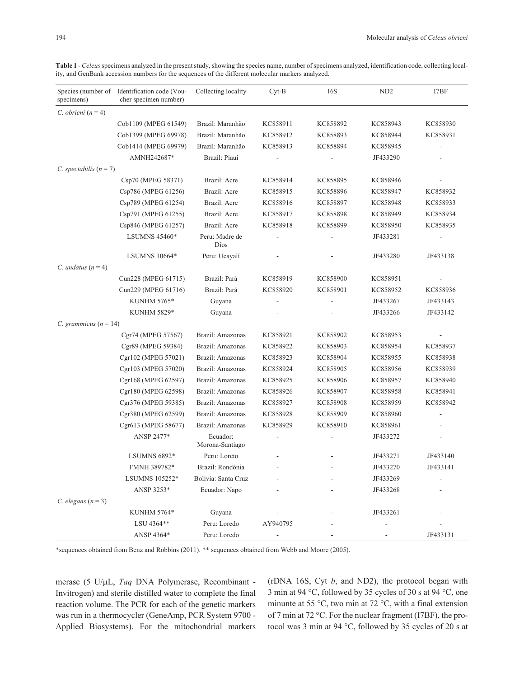| specimens)                | Species (number of Identification code (Vou-<br>cher specimen number) | Collecting locality         | $Cyt-B$  | 16S      | ND <sub>2</sub> | I7BF     |
|---------------------------|-----------------------------------------------------------------------|-----------------------------|----------|----------|-----------------|----------|
| C. obrieni $(n = 4)$      |                                                                       |                             |          |          |                 |          |
|                           | Cob1109 (MPEG 61549)                                                  | Brazil: Maranhão            | KC858911 | KC858892 | KC858943        | KC858930 |
|                           | Cob1399 (MPEG 69978)                                                  | Brazil: Maranhão            | KC858912 | KC858893 | KC858944        | KC858931 |
|                           | Cob1414 (MPEG 69979)                                                  | Brazil: Maranhão            | KC858913 | KC858894 | KC858945        |          |
|                           | AMNH242687*                                                           | Brazil: Piauí               |          |          | JF433290        |          |
| C. spectabilis $(n = 7)$  |                                                                       |                             |          |          |                 |          |
|                           | Csp70 (MPEG 58371)                                                    | Brazil: Acre                | KC858914 | KC858895 | KC858946        |          |
|                           | Csp786 (MPEG 61256)                                                   | Brazil: Acre                | KC858915 | KC858896 | KC858947        | KC858932 |
|                           | Csp789 (MPEG 61254)                                                   | Brazil: Acre                | KC858916 | KC858897 | KC858948        | KC858933 |
|                           | Csp791 (MPEG 61255)                                                   | Brazil: Acre                | KC858917 | KC858898 | KC858949        | KC858934 |
|                           | Csp846 (MPEG 61257)                                                   | Brazil: Acre                | KC858918 | KC858899 | KC858950        | KC858935 |
|                           | <b>LSUMNS 45460*</b>                                                  | Peru: Madre de<br>Díos      |          |          | JF433281        |          |
|                           | <b>LSUMNS 10664*</b>                                                  | Peru: Ucayalí               |          |          | JF433280        | JF433138 |
| C. undatus $(n=4)$        |                                                                       |                             |          |          |                 |          |
|                           | Cun228 (MPEG 61715)                                                   | Brazil: Pará                | KC858919 | KC858900 | KC858951        |          |
|                           | Cun229 (MPEG 61716)                                                   | Brazil: Pará                | KC858920 | KC858901 | KC858952        | KC858936 |
|                           | KUNHM 5765*                                                           | Guyana                      |          |          | JF433267        | JF433143 |
|                           | KUNHM 5829*                                                           | Guyana                      |          |          | JF433266        | JF433142 |
| C. grammicus ( $n = 14$ ) |                                                                       |                             |          |          |                 |          |
|                           | Cgr74 (MPEG 57567)                                                    | Brazil: Amazonas            | KC858921 | KC858902 | KC858953        |          |
|                           | Cgr89 (MPEG 59384)                                                    | Brazil: Amazonas            | KC858922 | KC858903 | KC858954        | KC858937 |
|                           | Cgr102 (MPEG 57021)                                                   | Brazil: Amazonas            | KC858923 | KC858904 | KC858955        | KC858938 |
|                           | Cgr103 (MPEG 57020)                                                   | Brazil: Amazonas            | KC858924 | KC858905 | KC858956        | KC858939 |
|                           | Cgr168 (MPEG 62597)                                                   | Brazil: Amazonas            | KC858925 | KC858906 | KC858957        | KC858940 |
|                           | Cgr180 (MPEG 62598)                                                   | Brazil: Amazonas            | KC858926 | KC858907 | KC858958        | KC858941 |
|                           | Cgr376 (MPEG 59385)                                                   | Brazil: Amazonas            | KC858927 | KC858908 | KC858959        | KC858942 |
|                           | Cgr380 (MPEG 62599)                                                   | Brazil: Amazonas            | KC858928 | KC858909 | KC858960        |          |
|                           | Cgr613 (MPEG 58677)                                                   | Brazil: Amazonas            | KC858929 | KC858910 | KC858961        |          |
|                           | ANSP 2477*                                                            | Ecuador:<br>Morona-Santiago |          |          | JF433272        |          |
|                           | <b>LSUMNS 6892*</b>                                                   | Peru: Loreto                |          |          | JF433271        | JF433140 |
|                           | FMNH 389782*                                                          | Brazil: Rondônia            |          |          | JF433270        | JF433141 |
|                           | LSUMNS 105252*                                                        | Bolivia: Santa Cruz         |          |          | JF433269        |          |
|                           | ANSP 3253*                                                            | Ecuador: Napo               |          |          | JF433268        |          |
| C. elegans $(n=3)$        |                                                                       |                             |          |          |                 |          |
|                           | KUNHM 5764*                                                           | Guyana                      |          |          | JF433261        |          |
|                           | LSU 4364**                                                            | Peru: Loredo                | AY940795 |          |                 |          |
|                           | ANSP 4364*                                                            | Peru: Loredo                | ۰        |          |                 | JF433131 |

Table 1 - *Celeus* specimens analyzed in the present study, showing the species name, number of specimens analyzed, identification code, collecting locality, and GenBank accession numbers for the sequences of the different molecular markers analyzed.

\*sequences obtained from Benz and Robbins (2011). \*\* sequences obtained from Webb and Moore (2005).

merase (5 U/µL, *Taq* DNA Polymerase, Recombinant -Invitrogen) and sterile distilled water to complete the final reaction volume. The PCR for each of the genetic markers was run in a thermocycler (GeneAmp, PCR System 9700 - Applied Biosystems). For the mitochondrial markers (rDNA 16S, Cyt *b*, and ND2), the protocol began with 3 min at 94 °C, followed by 35 cycles of 30 s at 94 °C, one minunte at 55 °C, two min at 72 °C, with a final extension of 7 min at 72 °C. For the nuclear fragment (I7BF), the protocol was 3 min at 94 °C, followed by 35 cycles of 20 s at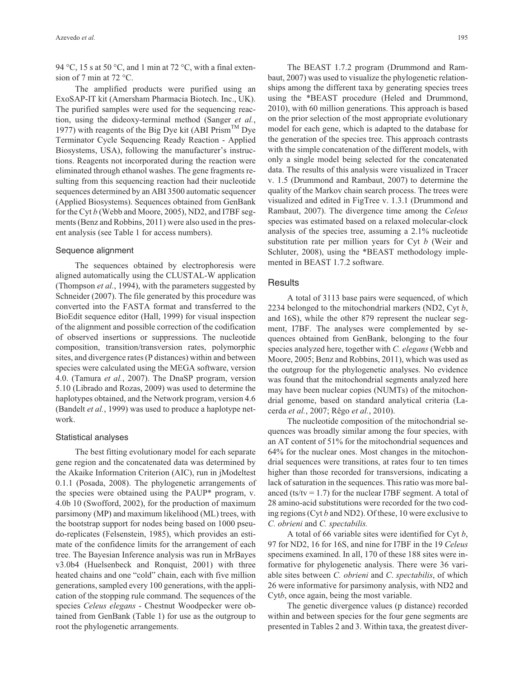94 °C, 15 s at 50 °C, and 1 min at 72 °C, with a final extension of 7 min at  $72 °C$ .

The amplified products were purified using an ExoSAP-IT kit (Amersham Pharmacia Biotech. Inc., UK). The purified samples were used for the sequencing reaction, using the dideoxy-terminal method (Sanger *et al.*, 1977) with reagents of the Big Dye kit (ABI Prism<sup>TM</sup> Dye Terminator Cycle Sequencing Ready Reaction - Applied Biosystems, USA), following the manufacturer's instructions. Reagents not incorporated during the reaction were eliminated through ethanol washes. The gene fragments resulting from this sequencing reaction had their nucleotide sequences determined by an ABI 3500 automatic sequencer (Applied Biosystems). Sequences obtained from GenBank for the Cyt *b* (Webb and Moore, 2005), ND2, and I7BF segments (Benz and Robbins, 2011) were also used in the present analysis (see Table 1 for access numbers).

#### Sequence alignment

The sequences obtained by electrophoresis were aligned automatically using the CLUSTAL-W application (Thompson *et al.*, 1994), with the parameters suggested by Schneider (2007). The file generated by this procedure was converted into the FASTA format and transferred to the BioEdit sequence editor (Hall, 1999) for visual inspection of the alignment and possible correction of the codification of observed insertions or suppressions. The nucleotide composition, transition/transversion rates, polymorphic sites, and divergence rates (P distances) within and between species were calculated using the MEGA software, version 4.0. (Tamura *et al.*, 2007). The DnaSP program, version 5.10 (Librado and Rozas, 2009) was used to determine the haplotypes obtained, and the Network program, version 4.6 (Bandelt *et al.*, 1999) was used to produce a haplotype network.

#### Statistical analyses

The best fitting evolutionary model for each separate gene region and the concatenated data was determined by the Akaike Information Criterion (AIC), run in jModeltest 0.1.1 (Posada, 2008). The phylogenetic arrangements of the species were obtained using the PAUP\* program, v. 4.0b 10 (Swofford, 2002), for the production of maximum parsimony (MP) and maximum likelihood (ML) trees, with the bootstrap support for nodes being based on 1000 pseudo-replicates (Felsenstein, 1985), which provides an estimate of the confidence limits for the arrangement of each tree. The Bayesian Inference analysis was run in MrBayes v3.0b4 (Huelsenbeck and Ronquist, 2001) with three heated chains and one "cold" chain, each with five million generations, sampled every 100 generations, with the application of the stopping rule command. The sequences of the species *Celeus elegans* - Chestnut Woodpecker were obtained from GenBank (Table 1) for use as the outgroup to root the phylogenetic arrangements.

The BEAST 1.7.2 program (Drummond and Rambaut, 2007) was used to visualize the phylogenetic relationships among the different taxa by generating species trees using the \*BEAST procedure (Heled and Drummond, 2010), with 60 million generations. This approach is based on the prior selection of the most appropriate evolutionary model for each gene, which is adapted to the database for the generation of the species tree. This approach contrasts with the simple concatenation of the different models, with only a single model being selected for the concatenated data. The results of this analysis were visualized in Tracer v. 1.5 (Drummond and Rambaut, 2007) to determine the quality of the Markov chain search process. The trees were visualized and edited in FigTree v. 1.3.1 (Drummond and Rambaut, 2007). The divergence time among the *Celeus* species was estimated based on a relaxed molecular-clock analysis of the species tree, assuming a 2.1% nucleotide substitution rate per million years for Cyt *b* (Weir and Schluter, 2008), using the \*BEAST methodology implemented in BEAST 1.7.2 software.

### **Results**

A total of 3113 base pairs were sequenced, of which 2234 belonged to the mitochondrial markers (ND2, Cyt *b*, and 16S), while the other 879 represent the nuclear segment, I7BF. The analyses were complemented by sequences obtained from GenBank, belonging to the four species analyzed here, together with *C. elegans* (Webb and Moore, 2005; Benz and Robbins, 2011), which was used as the outgroup for the phylogenetic analyses. No evidence was found that the mitochondrial segments analyzed here may have been nuclear copies (NUMTs) of the mitochondrial genome, based on standard analytical criteria (Lacerda *et al.*, 2007; Rêgo *et al.*, 2010).

The nucleotide composition of the mitochondrial sequences was broadly similar among the four species, with an AT content of 51% for the mitochondrial sequences and 64% for the nuclear ones. Most changes in the mitochondrial sequences were transitions, at rates four to ten times higher than those recorded for transversions, indicating a lack of saturation in the sequences. This ratio was more balanced (ts/tv = 1.7) for the nuclear I7BF segment. A total of 28 amino-acid substitutions were recorded for the two coding regions (Cyt *b* and ND2). Of these, 10 were exclusive to *C. obrieni* and *C. spectabilis.*

A total of 66 variable sites were identified for Cyt *b*, 97 for ND2, 16 for 16S, and nine for I7BF in the 19 *Celeus* specimens examined. In all, 170 of these 188 sites were informative for phylogenetic analysis. There were 36 variable sites between *C. obrieni* and *C*. *spectabilis*, of which 26 were informative for parsimony analysis, with ND2 and Cyt*b*, once again, being the most variable.

The genetic divergence values (p distance) recorded within and between species for the four gene segments are presented in Tables 2 and 3. Within taxa, the greatest diver-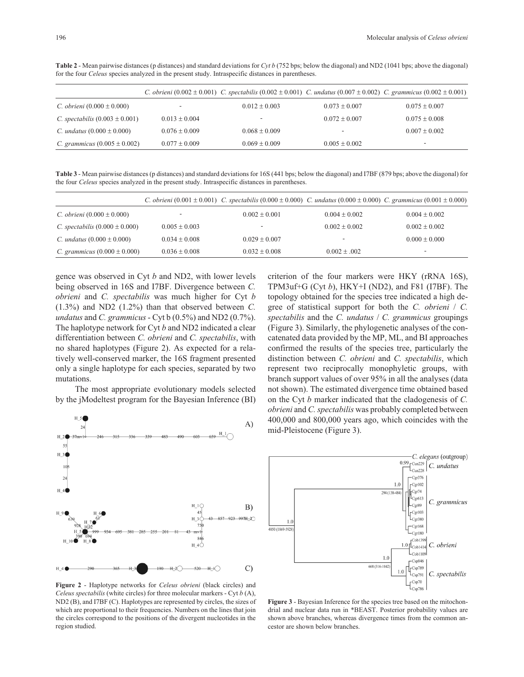|                                           |                   | C. obrieni $(0.002 \pm 0.001)$ C. spectabilis $(0.002 \pm 0.001)$ C. undatus $(0.007 \pm 0.002)$ C. grammicus $(0.002 \pm 0.001)$ |                   |                          |
|-------------------------------------------|-------------------|-----------------------------------------------------------------------------------------------------------------------------------|-------------------|--------------------------|
| C. obrieni $(0.000 \pm 0.000)$            |                   | $0.012 \pm 0.003$                                                                                                                 | $0.073 \pm 0.007$ | $0.075 \pm 0.007$        |
| <i>C. spectabilis</i> $(0.003 \pm 0.001)$ | $0.013 + 0.004$   | $\overline{\phantom{a}}$                                                                                                          | $0.072 \pm 0.007$ | $0.075 \pm 0.008$        |
| C. <i>undatus</i> $(0.000 \pm 0.000)$     | $0.076 \pm 0.009$ | $0.068 \pm 0.009$                                                                                                                 | -                 | $0.007 \pm 0.002$        |
| C. grammicus $(0.005 \pm 0.002)$          | $0.077 \pm 0.009$ | $0.069 \pm 0.009$                                                                                                                 | $0.005 \pm 0.002$ | $\overline{\phantom{a}}$ |

**Table 2** - Mean pairwise distances (p distances) and standard deviations for *Cyt b* (752 bps; below the diagonal) and ND2 (1041 bps; above the diagonal) for the four *Celeus* species analyzed in the present study. Intraspecific distances in parentheses.

**Table 3** - Mean pairwise distances (p distances) and standard deviations for 16S (441 bps; below the diagonal) and I7BF (879 bps; above the diagonal) for the four *Celeus* species analyzed in the present study. Intraspecific distances in parentheses.

|                                           |                          | C. obrieni $(0.001 \pm 0.001)$ C. spectabilis $(0.000 \pm 0.000)$ C. undatus $(0.000 \pm 0.000)$ C. grammicus $(0.001 \pm 0.000)$ |                   |                   |
|-------------------------------------------|--------------------------|-----------------------------------------------------------------------------------------------------------------------------------|-------------------|-------------------|
| <i>C. obrieni</i> $(0.000 \pm 0.000)$     | $\overline{\phantom{a}}$ | $0.002 \pm 0.001$                                                                                                                 | $0.004 \pm 0.002$ | $0.004 \pm 0.002$ |
| <i>C. spectabilis</i> $(0.000 \pm 0.000)$ | $0.005 \pm 0.003$        |                                                                                                                                   | $0.002 \pm 0.002$ | $0.002 + 0.002$   |
| <i>C. undatus</i> $(0.000 \pm 0.000)$     | $0.034 + 0.008$          | $0.029 \pm 0.007$                                                                                                                 | ۰                 | $0.000 \pm 0.000$ |
| <i>C. grammicus</i> $(0.000 \pm 0.000)$   | $0.036 \pm 0.008$        | $0.032 \pm 0.008$                                                                                                                 | $0.002 \pm .002$  | -                 |

gence was observed in Cyt *b* and ND2, with lower levels being observed in 16S and I7BF. Divergence between *C. obrieni* and *C. spectabilis* was much higher for Cyt *b* (1.3%) and ND2 (1.2%) than that observed between *C. undatus* and *C. grammicus* - Cyt b (0.5%) and ND2 (0.7%). The haplotype network for Cyt *b* and ND2 indicated a clear differentiation between *C. obrieni* and *C. spectabilis*, with no shared haplotypes (Figure 2). As expected for a relatively well-conserved marker, the 16S fragment presented only a single haplotype for each species, separated by two mutations.

The most appropriate evolutionary models selected by the jModeltest program for the Bayesian Inference (BI)



**Figure 2** - Haplotype networks for *Celeus obrieni* (black circles) and *Celeus spectabilis* (white circles) for three molecular markers - Cyt *b* (A), ND2 (B), and I7BF (C). Haplotypes are represented by circles, the sizes of which are proportional to their frequencies. Numbers on the lines that join the circles correspond to the positions of the divergent nucleotides in the region studied.

criterion of the four markers were HKY (rRNA 16S), TPM3uf+G (Cyt *b*), HKY+I (ND2), and F81 (I7BF). The topology obtained for the species tree indicated a high degree of statistical support for both the *C. obrieni* / *C. spectabilis* and the *C. undatus* / *C. grammicus* groupings (Figure 3). Similarly, the phylogenetic analyses of the concatenated data provided by the MP, ML, and BI approaches confirmed the results of the species tree, particularly the distinction between *C. obrieni* and *C. spectabilis*, which represent two reciprocally monophyletic groups, with branch support values of over 95% in all the analyses (data not shown). The estimated divergence time obtained based on the Cyt *b* marker indicated that the cladogenesis of *C. obrieni* and *C. spectabilis* was probably completed between 400,000 and 800,000 years ago, which coincides with the mid-Pleistocene (Figure 3).



**Figure 3** - Bayesian Inference for the species tree based on the mitochondrial and nuclear data run in \*BEAST. Posterior probability values are shown above branches, whereas divergence times from the common ancestor are shown below branches.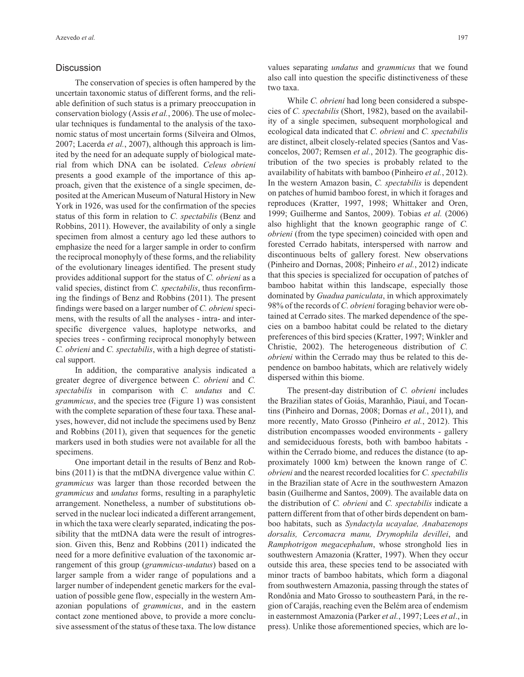# **Discussion**

The conservation of species is often hampered by the uncertain taxonomic status of different forms, and the reliable definition of such status is a primary preoccupation in conservation biology (Assis *et al.*, 2006). The use of molecular techniques is fundamental to the analysis of the taxonomic status of most uncertain forms (Silveira and Olmos, 2007; Lacerda *et al.*, 2007), although this approach is limited by the need for an adequate supply of biological material from which DNA can be isolated. *Celeus obrieni* presents a good example of the importance of this approach, given that the existence of a single specimen, deposited at the American Museum of Natural History in New York in 1926, was used for the confirmation of the species status of this form in relation to *C. spectabilis* (Benz and Robbins, 2011). However, the availability of only a single specimen from almost a century ago led these authors to emphasize the need for a larger sample in order to confirm the reciprocal monophyly of these forms, and the reliability of the evolutionary lineages identified. The present study provides additional support for the status of *C. obrieni* as a valid species, distinct from *C. spectabilis*, thus reconfirming the findings of Benz and Robbins (2011). The present findings were based on a larger number of *C. obrieni* specimens, with the results of all the analyses - intra- and interspecific divergence values, haplotype networks, and species trees - confirming reciprocal monophyly between *C. obrieni* and *C. spectabilis*, with a high degree of statistical support.

In addition, the comparative analysis indicated a greater degree of divergence between *C. obrieni* and *C. spectabilis* in comparison with *C. undatus* and *C. grammicus*, and the species tree (Figure 1) was consistent with the complete separation of these four taxa. These analyses, however, did not include the specimens used by Benz and Robbins (2011), given that sequences for the genetic markers used in both studies were not available for all the specimens.

One important detail in the results of Benz and Robbins (2011) is that the mtDNA divergence value within *C. grammicus* was larger than those recorded between the *grammicus* and *undatus* forms, resulting in a paraphyletic arrangement. Nonetheless, a number of substitutions observed in the nuclear loci indicated a different arrangement, in which the taxa were clearly separated, indicating the possibility that the mtDNA data were the result of introgression. Given this, Benz and Robbins (2011) indicated the need for a more definitive evaluation of the taxonomic arrangement of this group (*grammicus-undatus*) based on a larger sample from a wider range of populations and a larger number of independent genetic markers for the evaluation of possible gene flow, especially in the western Amazonian populations of *grammicus*, and in the eastern contact zone mentioned above, to provide a more conclusive assessment of the status of these taxa. The low distance values separating *undatus* and *grammicus* that we found also call into question the specific distinctiveness of these two taxa.

While *C. obrieni* had long been considered a subspecies of *C. spectabilis* (Short, 1982), based on the availability of a single specimen, subsequent morphological and ecological data indicated that *C. obrieni* and *C. spectabilis* are distinct, albeit closely-related species (Santos and Vasconcelos, 2007; Remsen *et al.*, 2012). The geographic distribution of the two species is probably related to the availability of habitats with bamboo (Pinheiro *et al.*, 2012). In the western Amazon basin, *C. spectabilis* is dependent on patches of humid bamboo forest, in which it forages and reproduces (Kratter, 1997, 1998; Whittaker and Oren, 1999; Guilherme and Santos, 2009). Tobias *et al.* (2006) also highlight that the known geographic range of *C. obrieni* (from the type specimen) coincided with open and forested Cerrado habitats, interspersed with narrow and discontinuous belts of gallery forest. New observations (Pinheiro and Dornas, 2008; Pinheiro *et al.*, 2012) indicate that this species is specialized for occupation of patches of bamboo habitat within this landscape, especially those dominated by *Guadua paniculata*, in which approximately 98% of the records of *C. obrieni* foraging behavior were obtained at Cerrado sites. The marked dependence of the species on a bamboo habitat could be related to the dietary preferences of this bird species (Kratter, 1997; Winkler and Christie, 2002). The heterogeneous distribution of *C. obrieni* within the Cerrado may thus be related to this dependence on bamboo habitats, which are relatively widely dispersed within this biome.

The present-day distribution of *C. obrieni* includes the Brazilian states of Goiás, Maranhão, Piauí, and Tocantins (Pinheiro and Dornas, 2008; Dornas *et al.*, 2011), and more recently, Mato Grosso (Pinheiro *et al.*, 2012). This distribution encompasses wooded environments - gallery and semideciduous forests, both with bamboo habitats within the Cerrado biome, and reduces the distance (to approximately 1000 km) between the known range of *C. obrieni* and the nearest recorded localities for *C. spectabilis* in the Brazilian state of Acre in the southwestern Amazon basin (Guilherme and Santos, 2009). The available data on the distribution of *C. obrieni* and *C. spectabilis* indicate a pattern different from that of other birds dependent on bamboo habitats, such as *Syndactyla ucayalae, Anabazenops dorsalis, Cercomacra manu, Drymophila devillei*, and *Ramphotrigon megacephalum*, whose stronghold lies in southwestern Amazonia (Kratter, 1997). When they occur outside this area, these species tend to be associated with minor tracts of bamboo habitats, which form a diagonal from southwestern Amazonia, passing through the states of Rondônia and Mato Grosso to southeastern Pará, in the region of Carajás, reaching even the Belém area of endemism in easternmost Amazonia (Parker *et al.*, 1997; Lees *et al*., in press). Unlike those aforementioned species, which are lo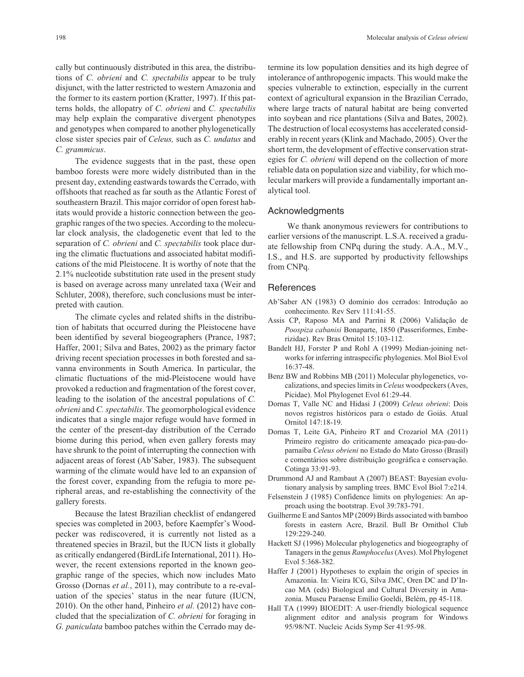cally but continuously distributed in this area, the distributions of *C. obrieni* and *C. spectabilis* appear to be truly disjunct, with the latter restricted to western Amazonia and the former to its eastern portion (Kratter, 1997). If this patterns holds, the allopatry of *C. obrieni* and *C. spectabilis* may help explain the comparative divergent phenotypes and genotypes when compared to another phylogenetically close sister species pair of *Celeus,* such as *C. undatus* and *C. grammicus*.

The evidence suggests that in the past, these open bamboo forests were more widely distributed than in the present day, extending eastwards towards the Cerrado, with offshoots that reached as far south as the Atlantic Forest of southeastern Brazil. This major corridor of open forest habitats would provide a historic connection between the geographic ranges of the two species. According to the molecular clock analysis, the cladogenetic event that led to the separation of *C. obrieni* and *C. spectabilis* took place during the climatic fluctuations and associated habitat modifications of the mid Pleistocene. It is worthy of note that the 2.1% nucleotide substitution rate used in the present study is based on average across many unrelated taxa (Weir and Schluter, 2008), therefore, such conclusions must be interpreted with caution.

The climate cycles and related shifts in the distribution of habitats that occurred during the Pleistocene have been identified by several biogeographers (Prance, 1987; Haffer, 2001; Silva and Bates, 2002) as the primary factor driving recent speciation processes in both forested and savanna environments in South America. In particular, the climatic fluctuations of the mid-Pleistocene would have provoked a reduction and fragmentation of the forest cover, leading to the isolation of the ancestral populations of *C. obrieni* and *C. spectabilis*. The geomorphological evidence indicates that a single major refuge would have formed in the center of the present-day distribution of the Cerrado biome during this period, when even gallery forests may have shrunk to the point of interrupting the connection with adjacent areas of forest (Ab'Saber, 1983). The subsequent warming of the climate would have led to an expansion of the forest cover, expanding from the refugia to more peripheral areas, and re-establishing the connectivity of the gallery forests.

Because the latest Brazilian checklist of endangered species was completed in 2003, before Kaempfer's Woodpecker was rediscovered, it is currently not listed as a threatened species in Brazil, but the IUCN lists it globally as critically endangered (BirdLife International, 2011). However, the recent extensions reported in the known geographic range of the species, which now includes Mato Grosso (Dornas *et al.*, 2011), may contribute to a re-evaluation of the species' status in the near future (IUCN, 2010). On the other hand, Pinheiro *et al.* (2012) have concluded that the specialization of *C. obrieni* for foraging in *G. paniculata* bamboo patches within the Cerrado may determine its low population densities and its high degree of intolerance of anthropogenic impacts. This would make the species vulnerable to extinction, especially in the current context of agricultural expansion in the Brazilian Cerrado, where large tracts of natural habitat are being converted into soybean and rice plantations (Silva and Bates, 2002). The destruction of local ecosystems has accelerated considerably in recent years (Klink and Machado, 2005). Over the short term, the development of effective conservation strategies for *C. obrieni* will depend on the collection of more reliable data on population size and viability, for which molecular markers will provide a fundamentally important analytical tool.

# Acknowledgments

We thank anonymous reviewers for contributions to earlier versions of the manuscript. L.S.A. received a graduate fellowship from CNPq during the study. A.A., M.V., I.S., and H.S. are supported by productivity fellowships from CNPq.

# **References**

- Ab'Saber AN (1983) O domínio dos cerrados: Introdução ao conhecimento. Rev Serv 111:41-55.
- Assis CP, Raposo MA and Parrini R (2006) Validação de *Poospiza cabanisi* Bonaparte, 1850 (Passeriformes, Emberizidae). Rev Bras Ornitol 15:103-112.
- Bandelt HJ, Forster P and Rohl A (1999) Median-joining networks for inferring intraspecific phylogenies. Mol Biol Evol 16:37-48.
- Benz BW and Robbins MB (2011) Molecular phylogenetics, vocalizations, and species limits in *Celeus* woodpeckers (Aves, Picidae). Mol Phylogenet Evol 61:29-44.
- Dornas T, Valle NC and Hidasi J (2009) *Celeus obrieni*: Dois novos registros históricos para o estado de Goiás. Atual Ornitol 147:18-19.
- Dornas T, Leite GA, Pinheiro RT and Crozariol MA (2011) Primeiro registro do criticamente ameaçado pica-pau-doparnaíba *Celeus obrieni* no Estado do Mato Grosso (Brasil) e comentários sobre distribuição geográfica e conservação. Cotinga 33:91-93.
- Drummond AJ and Rambaut A (2007) BEAST: Bayesian evolutionary analysis by sampling trees. BMC Evol Biol 7:e214.
- Felsenstein J (1985) Confidence limits on phylogenies: An approach using the bootstrap. Evol 39:783-791.
- Guilherme E and Santos MP (2009) Birds associated with bamboo forests in eastern Acre, Brazil. Bull Br Ornithol Club 129:229-240.
- Hackett SJ (1996) Molecular phylogenetics and biogeography of Tanagers in the genus *Ramphocelus*(Aves). Mol Phylogenet Evol 5:368-382.
- Haffer J (2001) Hypotheses to explain the origin of species in Amazonia. In: Vieira ICG, Silva JMC, Oren DC and D'Incao MA (eds) Biological and Cultural Diversity in Amazonia. Museu Paraense Emílio Goeldi, Belém, pp 45-118.
- Hall TA (1999) BIOEDIT: A user-friendly biological sequence alignment editor and analysis program for Windows 95/98/NT. Nucleic Acids Symp Ser 41:95-98.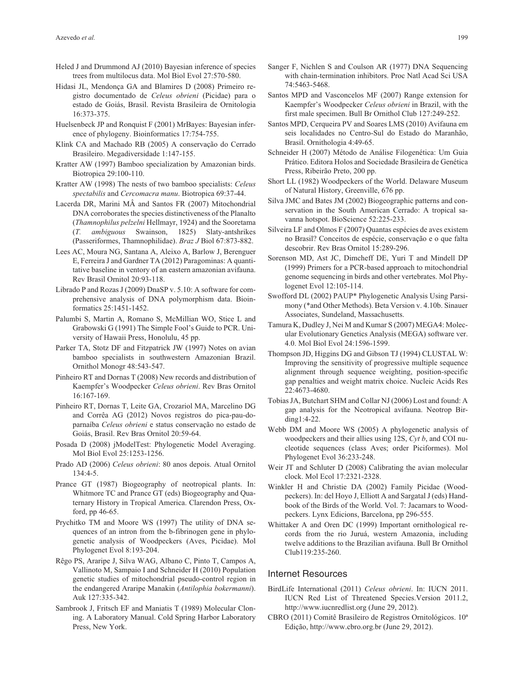- Heled J and Drummond AJ (2010) Bayesian inference of species trees from multilocus data. Mol Biol Evol 27:570-580.
- Hidasi JL, Mendonça GA and Blamires D (2008) Primeiro registro documentado de *Celeus obrieni* (Picidae) para o estado de Goiás, Brasil. Revista Brasileira de Ornitologia 16:373-375.
- Huelsenbeck JP and Ronquist F (2001) MrBayes: Bayesian inference of phylogeny. Bioinformatics 17:754-755.
- Klink CA and Machado RB (2005) A conservação do Cerrado Brasileiro. Megadiversidade 1:147-155.
- Kratter AW (1997) Bamboo specialization by Amazonian birds. Biotropica 29:100-110.
- Kratter AW (1998) The nests of two bamboo specialists: *Celeus spectabilis* and *Cercomacra manu*. Biotropica 69:37-44.
- Lacerda DR, Marini MÂ and Santos FR (2007) Mitochondrial DNA corroborates the species distinctiveness of the Planalto (*Thamnophilus pelzelni* Hellmayr, 1924) and the Sooretama (*T. ambiguous* Swainson, 1825) Slaty-antshrikes (Passeriformes, Thamnophilidae). *Braz J* Biol 67:873-882.
- Lees AC, Moura NG, Santana A, Aleixo A, Barlow J, Berenguer E, Ferreira J and Gardner TA (2012) Paragominas: A quantitative baseline in ventory of an eastern amazonian avifauna. Rev Brasil Ornitol 20:93-118.
- Librado P and Rozas J (2009) DnaSP v. 5.10: A software for comprehensive analysis of DNA polymorphism data. Bioinformatics 25:1451-1452.
- Palumbi S, Martin A, Romano S, McMillian WO, Stice L and Grabowski G (1991) The Simple Fool's Guide to PCR. University of Hawaii Press, Honolulu, 45 pp.
- Parker TA, Stotz DF and Fitzpatrick JW (1997) Notes on avian bamboo specialists in southwestern Amazonian Brazil. Ornithol Monogr 48:543-547.
- Pinheiro RT and Dornas T (2008) New records and distribution of Kaempfer's Woodpecker *Celeus obrieni*. Rev Bras Ornitol 16:167-169.
- Pinheiro RT, Dornas T, Leite GA, Crozariol MA, Marcelino DG and Corrêa AG (2012) Novos registros do pica-pau-doparnaíba *Celeus obrieni* e status conservação no estado de Goiás, Brasil. Rev Bras Ornitol 20:59-64.
- Posada D (2008) jModelTest: Phylogenetic Model Averaging. Mol Biol Evol 25:1253-1256.
- Prado AD (2006) *Celeus obrieni*: 80 anos depois. Atual Ornitol 134:4-5.
- Prance GT (1987) Biogeography of neotropical plants. In: Whitmore TC and Prance GT (eds) Biogeography and Quaternary History in Tropical America. Clarendon Press, Oxford, pp 46-65.
- Prychitko TM and Moore WS (1997) The utility of DNA sequences of an intron from the b-fibrinogen gene in phylogenetic analysis of Woodpeckers (Aves, Picidae). Mol Phylogenet Evol 8:193-204.
- Rêgo PS, Araripe J, Silva WAG, Albano C, Pinto T, Campos A, Vallinoto M, Sampaio I and Schneider H (2010) Population genetic studies of mitochondrial pseudo-control region in the endangered Araripe Manakin (*Antilophia bokermanni*). Auk 127:335-342.
- Sambrook J, Fritsch EF and Maniatis T (1989) Molecular Cloning. A Laboratory Manual. Cold Spring Harbor Laboratory Press, New York.
- Sanger F, Nichlen S and Coulson AR (1977) DNA Sequencing with chain-termination inhibitors. Proc Natl Acad Sci USA 74:5463-5468.
- Santos MPD and Vasconcelos MF (2007) Range extension for Kaempfer's Woodpecker *Celeus obrieni* in Brazil, with the first male specimen. Bull Br Ornithol Club 127:249-252.
- Santos MPD, Cerqueira PV and Soares LMS (2010) Avifauna em seis localidades no Centro-Sul do Estado do Maranhão, Brasil. Ornithologia 4:49-65.
- Schneider H (2007) Método de Análise Filogenética: Um Guia Prático. Editora Holos and Sociedade Brasileira de Genética Press, Ribeirão Preto, 200 pp.
- Short LL (1982) Woodpeckers of the World. Delaware Museum of Natural History, Greenville, 676 pp.
- Silva JMC and Bates JM (2002) Biogeographic patterns and conservation in the South American Cerrado: A tropical savanna hotspot. BioScience 52:225-233.
- Silveira LF and Olmos F (2007) Quantas espécies de aves existem no Brasil? Conceitos de espécie, conservação e o que falta descobrir. Rev Bras Ornitol 15:289-296.
- Sorenson MD, Ast JC, Dimcheff DE, Yuri T and Mindell DP (1999) Primers for a PCR-based approach to mitochondrial genome sequencing in birds and other vertebrates. Mol Phylogenet Evol 12:105-114.
- Swofford DL (2002) PAUP\* Phylogenetic Analysis Using Parsimony (\*and Other Methods). Beta Version v. 4.10b. Sinauer Associates, Sundeland, Massachusetts.
- Tamura K, Dudley J, Nei M and Kumar S (2007) MEGA4: Molecular Evolutionary Genetics Analysis (MEGA) software ver. 4.0. Mol Biol Evol 24:1596-1599.
- Thompson JD, Higgins DG and Gibson TJ (1994) CLUSTAL W: Improving the sensitivity of progressive multiple sequence alignment through sequence weighting, position-specific gap penalties and weight matrix choice. Nucleic Acids Res 22:4673-4680.
- Tobias JA, Butchart SHM and Collar NJ (2006) Lost and found: A gap analysis for the Neotropical avifauna. Neotrop Birding1:4-22.
- Webb DM and Moore WS (2005) A phylogenetic analysis of woodpeckers and their allies using 12S, *Cyt b*, and COI nucleotide sequences (class Aves; order Piciformes). Mol Phylogenet Evol 36:233-248.
- Weir JT and Schluter D (2008) Calibrating the avian molecular clock. Mol Ecol 17:2321-2328.
- Winkler H and Christie DA (2002) Family Picidae (Woodpeckers). In: del Hoyo J, Elliott A and Sargatal J (eds) Handbook of the Birds of the World. Vol. 7: Jacamars to Woodpeckers. Lynx Edicions, Barcelona, pp 296-555.
- Whittaker A and Oren DC (1999) Important ornithological records from the rio Juruá, western Amazonia, including twelve additions to the Brazilian avifauna. Bull Br Ornithol Club119:235-260.

#### Internet Resources

- BirdLife International (2011) *Celeus obrieni*. In: IUCN 2011. IUCN Red List of Threatened Species.Version 2011.2, http://www.iucnredlist.org (June 29, 2012).
- CBRO (2011) Comitê Brasileiro de Registros Ornitológicos. 10ª Edição, http://www.cbro.org.br (June 29, 2012).